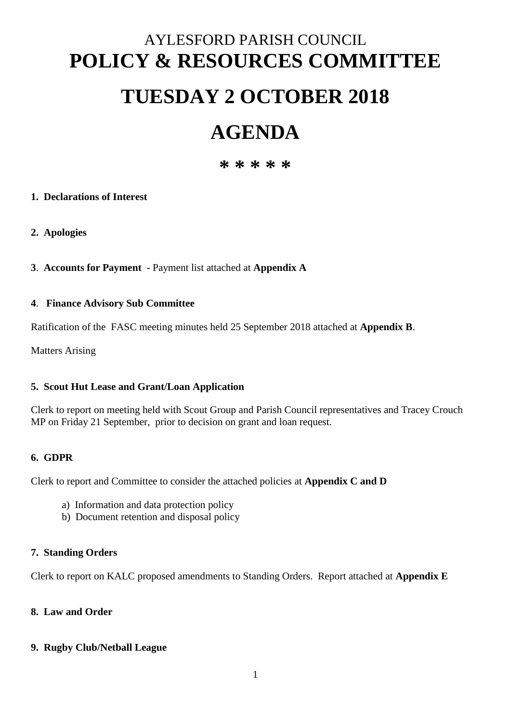## AYLESFORD PARISH COUNCIL **POLICY & RESOURCES COMMITTEE**

## **TUESDAY 2 OCTOBER 2018**

# **AGENDA**

**\* \* \* \* \***

## **1. Declarations of Interest**

### **2. Apologies**

## **3**. **Accounts for Payment -** Payment list attached at **Appendix A**

#### **4**. **Finance Advisory Sub Committee**

Ratification of the FASC meeting minutes held 25 September 2018 attached at **Appendix B**.

Matters Arising

#### **5. Scout Hut Lease and Grant/Loan Application**

Clerk to report on meeting held with Scout Group and Parish Council representatives and Tracey Crouch MP on Friday 21 September, prior to decision on grant and loan request.

#### **6. GDPR**

Clerk to report and Committee to consider the attached policies at **Appendix C and D**

- a) Information and data protection policy
- b) Document retention and disposal policy

#### **7. Standing Orders**

Clerk to report on KALC proposed amendments to Standing Orders. Report attached at **Appendix E**

#### **8. Law and Order**

#### **9. Rugby Club/Netball League**